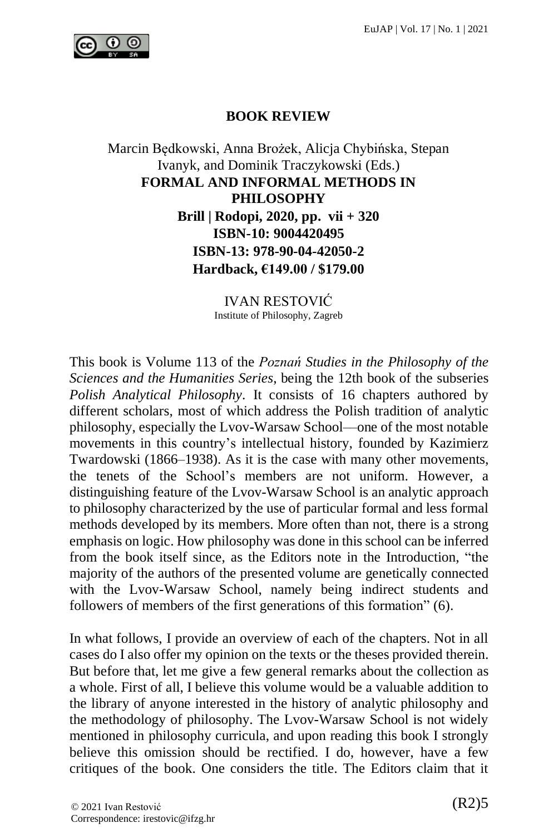

## **BOOK REVIEW**

Marcin Będkowski, Anna Brożek, Alicja Chybińska, Stepan Ivanyk, and Dominik Traczykowski (Eds.) **FORMAL AND INFORMAL METHODS IN PHILOSOPHY Brill | Rodopi, 2020, pp. vii + 320 ISBN-10: 9004420495 ISBN-13: 978-90-04-42050-2 Hardback, €149.00 / \$179.00**

> IVAN RESTOVIĆ Institute of Philosophy, Zagreb

This book is Volume 113 of the *Poznań Studies in the Philosophy of the Sciences and the Humanities Series*, being the 12th book of the subseries *Polish Analytical Philosophy*. It consists of 16 chapters authored by different scholars, most of which address the Polish tradition of analytic philosophy, especially the Lvov-Warsaw School––one of the most notable movements in this country's intellectual history, founded by Kazimierz Twardowski (1866–1938). As it is the case with many other movements, the tenets of the School's members are not uniform. However, a distinguishing feature of the Lvov-Warsaw School is an analytic approach to philosophy characterized by the use of particular formal and less formal methods developed by its members. More often than not, there is a strong emphasis on logic. How philosophy was done in this school can be inferred from the book itself since, as the Editors note in the Introduction, "the majority of the authors of the presented volume are genetically connected with the Lvov-Warsaw School, namely being indirect students and followers of members of the first generations of this formation" (6).

In what follows, I provide an overview of each of the chapters. Not in all cases do I also offer my opinion on the texts or the theses provided therein. But before that, let me give a few general remarks about the collection as a whole. First of all, I believe this volume would be a valuable addition to the library of anyone interested in the history of analytic philosophy and the methodology of philosophy. The Lvov-Warsaw School is not widely mentioned in philosophy curricula, and upon reading this book I strongly believe this omission should be rectified. I do, however, have a few critiques of the book. One considers the title. The Editors claim that it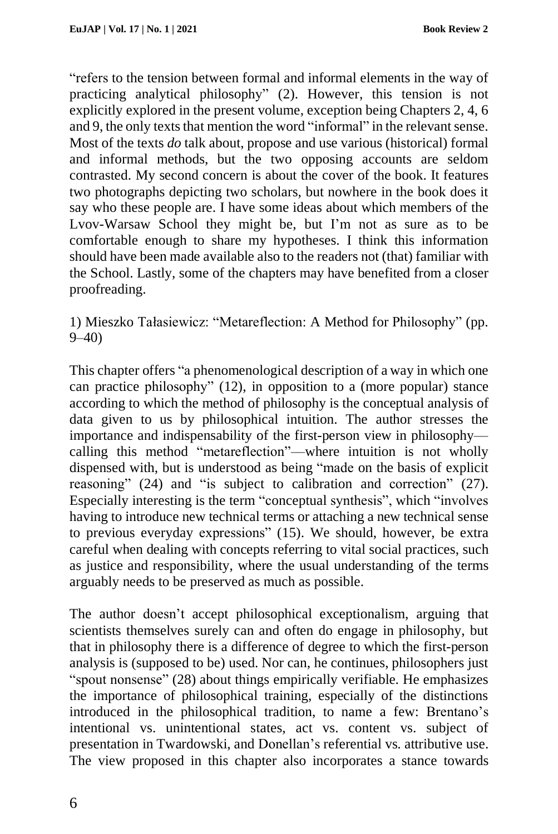"refers to the tension between formal and informal elements in the way of practicing analytical philosophy" (2). However, this tension is not explicitly explored in the present volume, exception being Chapters 2, 4, 6 and 9, the only texts that mention the word "informal" in the relevant sense. Most of the texts *do* talk about, propose and use various (historical) formal and informal methods, but the two opposing accounts are seldom contrasted. My second concern is about the cover of the book. It features two photographs depicting two scholars, but nowhere in the book does it say who these people are. I have some ideas about which members of the Lvov-Warsaw School they might be, but I'm not as sure as to be comfortable enough to share my hypotheses. I think this information should have been made available also to the readers not (that) familiar with the School. Lastly, some of the chapters may have benefited from a closer proofreading.

1) Mieszko Tałasiewicz: "Metareflection: A Method for Philosophy" (pp. 9–40)

This chapter offers "a phenomenological description of a way in which one can practice philosophy" (12), in opposition to a (more popular) stance according to which the method of philosophy is the conceptual analysis of data given to us by philosophical intuition. The author stresses the importance and indispensability of the first-person view in philosophy–– calling this method "metareflection"––where intuition is not wholly dispensed with, but is understood as being "made on the basis of explicit reasoning" (24) and "is subject to calibration and correction" (27). Especially interesting is the term "conceptual synthesis", which "involves having to introduce new technical terms or attaching a new technical sense to previous everyday expressions" (15). We should, however, be extra careful when dealing with concepts referring to vital social practices, such as justice and responsibility, where the usual understanding of the terms arguably needs to be preserved as much as possible.

The author doesn't accept philosophical exceptionalism, arguing that scientists themselves surely can and often do engage in philosophy, but that in philosophy there is a difference of degree to which the first-person analysis is (supposed to be) used. Nor can, he continues, philosophers just "spout nonsense" (28) about things empirically verifiable. He emphasizes the importance of philosophical training, especially of the distinctions introduced in the philosophical tradition, to name a few: Brentano's intentional vs. unintentional states, act vs. content vs. subject of presentation in Twardowski, and Donellan's referential vs. attributive use. The view proposed in this chapter also incorporates a stance towards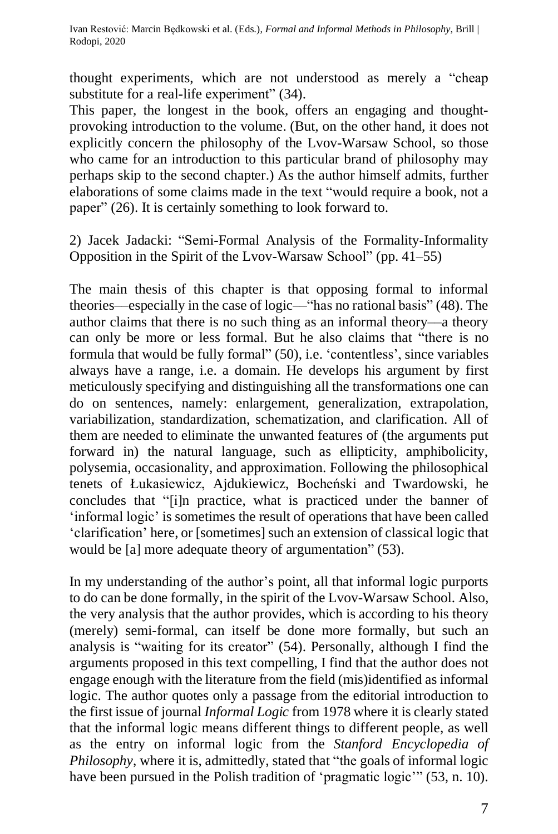thought experiments, which are not understood as merely a "cheap substitute for a real-life experiment" (34).

This paper, the longest in the book, offers an engaging and thoughtprovoking introduction to the volume. (But, on the other hand, it does not explicitly concern the philosophy of the Lvov-Warsaw School, so those who came for an introduction to this particular brand of philosophy may perhaps skip to the second chapter.) As the author himself admits, further elaborations of some claims made in the text "would require a book, not a paper" (26). It is certainly something to look forward to.

2) Jacek Jadacki: "Semi-Formal Analysis of the Formality-Informality Opposition in the Spirit of the Lvov-Warsaw School" (pp. 41–55)

The main thesis of this chapter is that opposing formal to informal theories––especially in the case of logic––"has no rational basis" (48). The author claims that there is no such thing as an informal theory––a theory can only be more or less formal. But he also claims that "there is no formula that would be fully formal" (50), i.e. 'contentless', since variables always have a range, i.e. a domain. He develops his argument by first meticulously specifying and distinguishing all the transformations one can do on sentences, namely: enlargement, generalization, extrapolation, variabilization, standardization, schematization, and clarification. All of them are needed to eliminate the unwanted features of (the arguments put forward in) the natural language, such as ellipticity, amphibolicity, polysemia, occasionality, and approximation. Following the philosophical tenets of Łukasiewicz, Ajdukiewicz, Bocheński and Twardowski, he concludes that "[i]n practice, what is practiced under the banner of 'informal logic' is sometimes the result of operations that have been called 'clarification' here, or [sometimes] such an extension of classical logic that would be [a] more adequate theory of argumentation" (53).

In my understanding of the author's point, all that informal logic purports to do can be done formally, in the spirit of the Lvov-Warsaw School. Also, the very analysis that the author provides, which is according to his theory (merely) semi-formal, can itself be done more formally, but such an analysis is "waiting for its creator" (54). Personally, although I find the arguments proposed in this text compelling, I find that the author does not engage enough with the literature from the field (mis)identified as informal logic. The author quotes only a passage from the editorial introduction to the first issue of journal *Informal Logic* from 1978 where it is clearly stated that the informal logic means different things to different people, as well as the entry on informal logic from the *Stanford Encyclopedia of Philosophy*, where it is, admittedly, stated that "the goals of informal logic have been pursued in the Polish tradition of 'pragmatic logic'" (53, n. 10).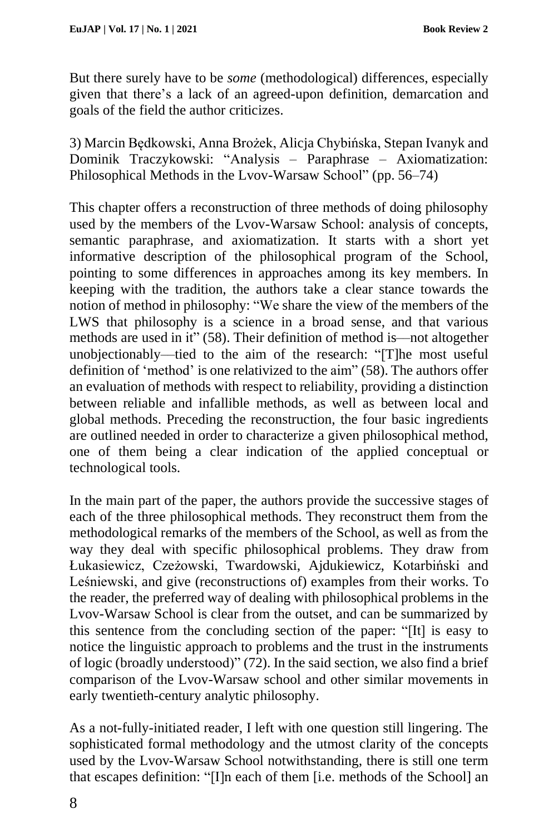But there surely have to be *some* (methodological) differences, especially given that there's a lack of an agreed-upon definition, demarcation and goals of the field the author criticizes.

3) Marcin Będkowski, Anna Brożek, Alicja Chybińska, Stepan Ivanyk and Dominik Traczykowski: "Analysis – Paraphrase – Axiomatization: Philosophical Methods in the Lvov-Warsaw School" (pp. 56–74)

This chapter offers a reconstruction of three methods of doing philosophy used by the members of the Lvov-Warsaw School: analysis of concepts, semantic paraphrase, and axiomatization. It starts with a short yet informative description of the philosophical program of the School, pointing to some differences in approaches among its key members. In keeping with the tradition, the authors take a clear stance towards the notion of method in philosophy: "We share the view of the members of the LWS that philosophy is a science in a broad sense, and that various methods are used in it" (58). Their definition of method is––not altogether unobjectionably––tied to the aim of the research: "[T]he most useful definition of 'method' is one relativized to the aim" (58). The authors offer an evaluation of methods with respect to reliability, providing a distinction between reliable and infallible methods, as well as between local and global methods. Preceding the reconstruction, the four basic ingredients are outlined needed in order to characterize a given philosophical method, one of them being a clear indication of the applied conceptual or technological tools.

In the main part of the paper, the authors provide the successive stages of each of the three philosophical methods. They reconstruct them from the methodological remarks of the members of the School, as well as from the way they deal with specific philosophical problems. They draw from Łukasiewicz, Czeżowski, Twardowski, Ajdukiewicz, Kotarbiński and Leśniewski, and give (reconstructions of) examples from their works. To the reader, the preferred way of dealing with philosophical problems in the Lvov-Warsaw School is clear from the outset, and can be summarized by this sentence from the concluding section of the paper: "[It] is easy to notice the linguistic approach to problems and the trust in the instruments of logic (broadly understood)" (72). In the said section, we also find a brief comparison of the Lvov-Warsaw school and other similar movements in early twentieth-century analytic philosophy.

As a not-fully-initiated reader, I left with one question still lingering. The sophisticated formal methodology and the utmost clarity of the concepts used by the Lvov-Warsaw School notwithstanding, there is still one term that escapes definition: "[I]n each of them [i.e. methods of the School] an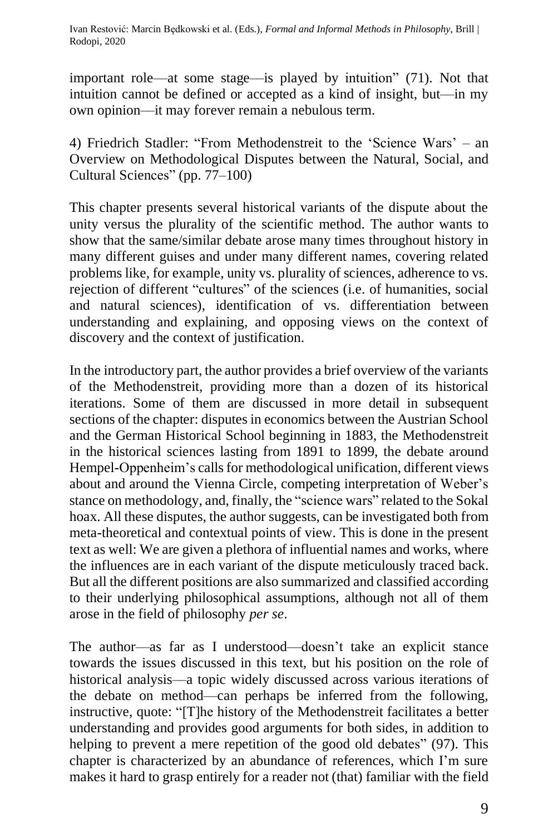important role––at some stage––is played by intuition" (71). Not that intuition cannot be defined or accepted as a kind of insight, but––in my own opinion––it may forever remain a nebulous term.

4) Friedrich Stadler: "From Methodenstreit to the 'Science Wars' – an Overview on Methodological Disputes between the Natural, Social, and Cultural Sciences" (pp. 77–100)

This chapter presents several historical variants of the dispute about the unity versus the plurality of the scientific method. The author wants to show that the same/similar debate arose many times throughout history in many different guises and under many different names, covering related problems like, for example, unity vs. plurality of sciences, adherence to vs. rejection of different "cultures" of the sciences (i.e. of humanities, social and natural sciences), identification of vs. differentiation between understanding and explaining, and opposing views on the context of discovery and the context of justification.

In the introductory part, the author provides a brief overview of the variants of the Methodenstreit, providing more than a dozen of its historical iterations. Some of them are discussed in more detail in subsequent sections of the chapter: disputes in economics between the Austrian School and the German Historical School beginning in 1883, the Methodenstreit in the historical sciences lasting from 1891 to 1899, the debate around Hempel-Oppenheim's calls for methodological unification, different views about and around the Vienna Circle, competing interpretation of Weber's stance on methodology, and, finally, the "science wars" related to the Sokal hoax. All these disputes, the author suggests, can be investigated both from meta-theoretical and contextual points of view. This is done in the present text as well: We are given a plethora of influential names and works, where the influences are in each variant of the dispute meticulously traced back. But all the different positions are also summarized and classified according to their underlying philosophical assumptions, although not all of them arose in the field of philosophy *per se*.

The author––as far as I understood––doesn't take an explicit stance towards the issues discussed in this text, but his position on the role of historical analysis––a topic widely discussed across various iterations of the debate on method––can perhaps be inferred from the following, instructive, quote: "[T]he history of the Methodenstreit facilitates a better understanding and provides good arguments for both sides, in addition to helping to prevent a mere repetition of the good old debates" (97). This chapter is characterized by an abundance of references, which I'm sure makes it hard to grasp entirely for a reader not (that) familiar with the field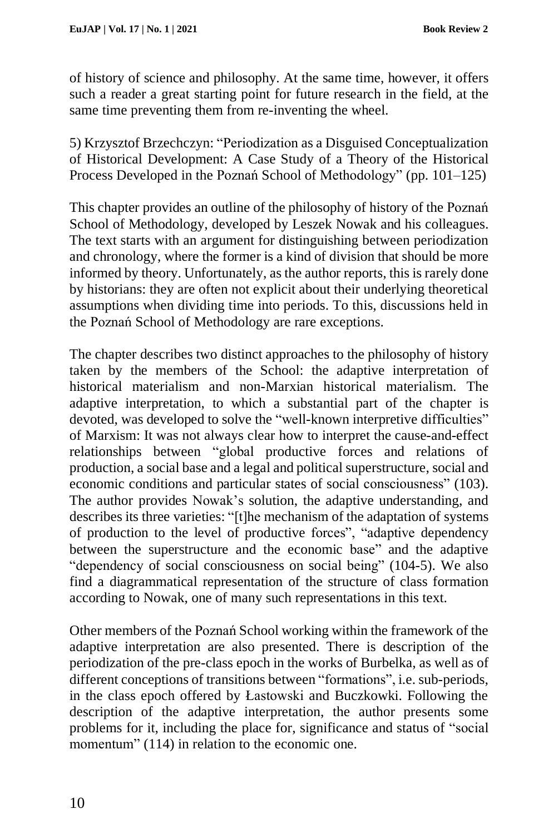of history of science and philosophy. At the same time, however, it offers such a reader a great starting point for future research in the field, at the same time preventing them from re-inventing the wheel.

5) Krzysztof Brzechczyn: "Periodization as a Disguised Conceptualization of Historical Development: A Case Study of a Theory of the Historical Process Developed in the Poznań School of Methodology" (pp. 101–125)

This chapter provides an outline of the philosophy of history of the Poznań School of Methodology, developed by Leszek Nowak and his colleagues. The text starts with an argument for distinguishing between periodization and chronology, where the former is a kind of division that should be more informed by theory. Unfortunately, as the author reports, this is rarely done by historians: they are often not explicit about their underlying theoretical assumptions when dividing time into periods. To this, discussions held in the Poznań School of Methodology are rare exceptions.

The chapter describes two distinct approaches to the philosophy of history taken by the members of the School: the adaptive interpretation of historical materialism and non-Marxian historical materialism. The adaptive interpretation, to which a substantial part of the chapter is devoted, was developed to solve the "well-known interpretive difficulties" of Marxism: It was not always clear how to interpret the cause-and-effect relationships between "global productive forces and relations of production, a social base and a legal and political superstructure, social and economic conditions and particular states of social consciousness" (103). The author provides Nowak's solution, the adaptive understanding, and describes its three varieties: "[t]he mechanism of the adaptation of systems of production to the level of productive forces", "adaptive dependency between the superstructure and the economic base" and the adaptive "dependency of social consciousness on social being" (104-5). We also find a diagrammatical representation of the structure of class formation according to Nowak, one of many such representations in this text.

Other members of the Poznań School working within the framework of the adaptive interpretation are also presented. There is description of the periodization of the pre-class epoch in the works of Burbelka, as well as of different conceptions of transitions between "formations", i.e. sub-periods, in the class epoch offered by Łastowski and Buczkowki. Following the description of the adaptive interpretation, the author presents some problems for it, including the place for, significance and status of "social momentum" (114) in relation to the economic one.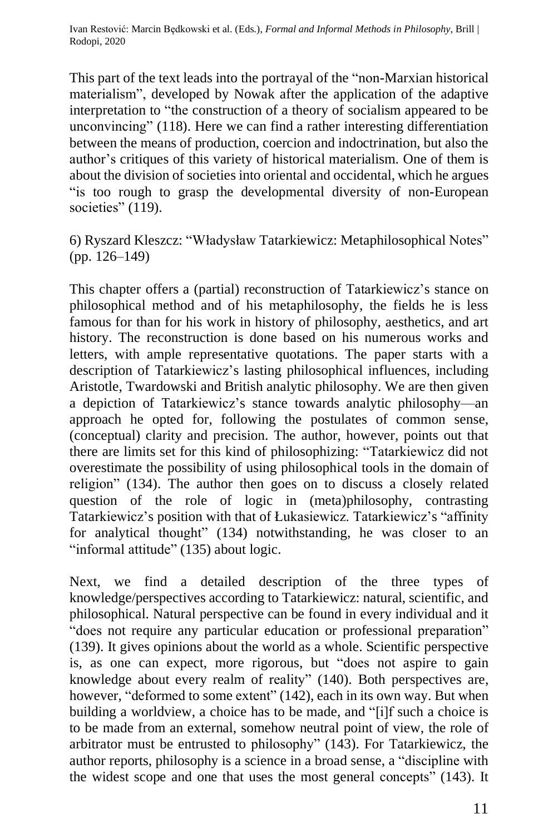This part of the text leads into the portrayal of the "non-Marxian historical materialism", developed by Nowak after the application of the adaptive interpretation to "the construction of a theory of socialism appeared to be unconvincing" (118). Here we can find a rather interesting differentiation between the means of production, coercion and indoctrination, but also the author's critiques of this variety of historical materialism. One of them is about the division of societies into oriental and occidental, which he argues "is too rough to grasp the developmental diversity of non-European societies" (119).

6) Ryszard Kleszcz: "Władysław Tatarkiewicz: Metaphilosophical Notes" (pp. 126–149)

This chapter offers a (partial) reconstruction of Tatarkiewicz's stance on philosophical method and of his metaphilosophy, the fields he is less famous for than for his work in history of philosophy, aesthetics, and art history. The reconstruction is done based on his numerous works and letters, with ample representative quotations. The paper starts with a description of Tatarkiewicz's lasting philosophical influences, including Aristotle, Twardowski and British analytic philosophy. We are then given a depiction of Tatarkiewicz's stance towards analytic philosophy––an approach he opted for, following the postulates of common sense, (conceptual) clarity and precision. The author, however, points out that there are limits set for this kind of philosophizing: "Tatarkiewicz did not overestimate the possibility of using philosophical tools in the domain of religion" (134). The author then goes on to discuss a closely related question of the role of logic in (meta)philosophy, contrasting Tatarkiewicz's position with that of Łukasiewicz. Tatarkiewicz's "affinity for analytical thought" (134) notwithstanding, he was closer to an "informal attitude" (135) about logic.

Next, we find a detailed description of the three types of knowledge/perspectives according to Tatarkiewicz: natural, scientific, and philosophical. Natural perspective can be found in every individual and it "does not require any particular education or professional preparation" (139). It gives opinions about the world as a whole. Scientific perspective is, as one can expect, more rigorous, but "does not aspire to gain knowledge about every realm of reality" (140). Both perspectives are, however, "deformed to some extent" (142), each in its own way. But when building a worldview, a choice has to be made, and "[i]f such a choice is to be made from an external, somehow neutral point of view, the role of arbitrator must be entrusted to philosophy" (143). For Tatarkiewicz, the author reports, philosophy is a science in a broad sense, a "discipline with the widest scope and one that uses the most general concepts" (143). It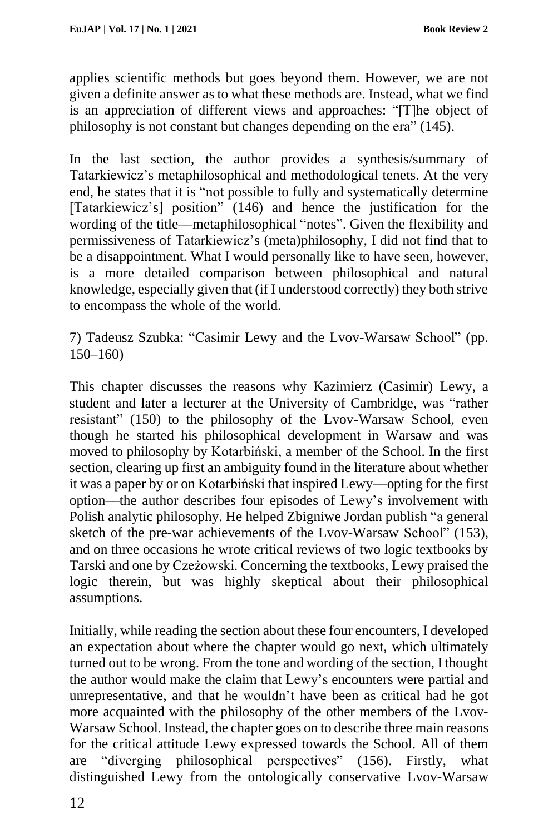applies scientific methods but goes beyond them. However, we are not given a definite answer as to what these methods are. Instead, what we find is an appreciation of different views and approaches: "[T]he object of philosophy is not constant but changes depending on the era" (145).

In the last section, the author provides a synthesis/summary of Tatarkiewicz's metaphilosophical and methodological tenets. At the very end, he states that it is "not possible to fully and systematically determine [Tatarkiewicz's] position" (146) and hence the justification for the wording of the title––metaphilosophical "notes". Given the flexibility and permissiveness of Tatarkiewicz's (meta)philosophy, I did not find that to be a disappointment. What I would personally like to have seen, however, is a more detailed comparison between philosophical and natural knowledge, especially given that (if I understood correctly) they both strive to encompass the whole of the world.

7) Tadeusz Szubka: "Casimir Lewy and the Lvov-Warsaw School" (pp. 150–160)

This chapter discusses the reasons why Kazimierz (Casimir) Lewy, a student and later a lecturer at the University of Cambridge, was "rather resistant" (150) to the philosophy of the Lvov-Warsaw School, even though he started his philosophical development in Warsaw and was moved to philosophy by Kotarbiński, a member of the School. In the first section, clearing up first an ambiguity found in the literature about whether it was a paper by or on Kotarbiński that inspired Lewy––opting for the first option––the author describes four episodes of Lewy's involvement with Polish analytic philosophy. He helped Zbigniwe Jordan publish "a general sketch of the pre-war achievements of the Lvov-Warsaw School" (153), and on three occasions he wrote critical reviews of two logic textbooks by Tarski and one by Czeżowski. Concerning the textbooks, Lewy praised the logic therein, but was highly skeptical about their philosophical assumptions.

Initially, while reading the section about these four encounters, I developed an expectation about where the chapter would go next, which ultimately turned out to be wrong. From the tone and wording of the section, I thought the author would make the claim that Lewy's encounters were partial and unrepresentative, and that he wouldn't have been as critical had he got more acquainted with the philosophy of the other members of the Lvov-Warsaw School. Instead, the chapter goes on to describe three main reasons for the critical attitude Lewy expressed towards the School. All of them are "diverging philosophical perspectives" (156). Firstly, what distinguished Lewy from the ontologically conservative Lvov-Warsaw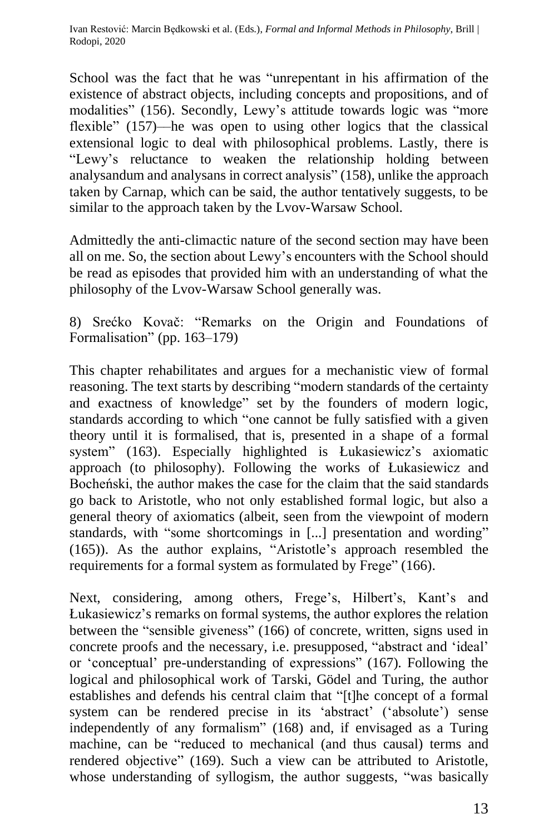School was the fact that he was "unrepentant in his affirmation of the existence of abstract objects, including concepts and propositions, and of modalities" (156). Secondly, Lewy's attitude towards logic was "more flexible" (157)—he was open to using other logics that the classical extensional logic to deal with philosophical problems. Lastly, there is "Lewy's reluctance to weaken the relationship holding between analysandum and analysans in correct analysis" (158), unlike the approach taken by Carnap, which can be said, the author tentatively suggests, to be similar to the approach taken by the Lvov-Warsaw School.

Admittedly the anti-climactic nature of the second section may have been all on me. So, the section about Lewy's encounters with the School should be read as episodes that provided him with an understanding of what the philosophy of the Lvov-Warsaw School generally was.

8) Srećko Kovač: "Remarks on the Origin and Foundations of Formalisation" (pp. 163–179)

This chapter rehabilitates and argues for a mechanistic view of formal reasoning. The text starts by describing "modern standards of the certainty and exactness of knowledge" set by the founders of modern logic, standards according to which "one cannot be fully satisfied with a given theory until it is formalised, that is, presented in a shape of a formal system" (163). Especially highlighted is Łukasiewicz's axiomatic approach (to philosophy). Following the works of Łukasiewicz and Bocheński, the author makes the case for the claim that the said standards go back to Aristotle, who not only established formal logic, but also a general theory of axiomatics (albeit, seen from the viewpoint of modern standards, with "some shortcomings in [...] presentation and wording" (165)). As the author explains, "Aristotle's approach resembled the requirements for a formal system as formulated by Frege" (166).

Next, considering, among others, Frege's, Hilbert's, Kant's and Łukasiewicz's remarks on formal systems, the author explores the relation between the "sensible giveness" (166) of concrete, written, signs used in concrete proofs and the necessary, i.e. presupposed, "abstract and 'ideal' or 'conceptual' pre-understanding of expressions" (167). Following the logical and philosophical work of Tarski, Gödel and Turing, the author establishes and defends his central claim that "[t]he concept of a formal system can be rendered precise in its 'abstract' ('absolute') sense independently of any formalism" (168) and, if envisaged as a Turing machine, can be "reduced to mechanical (and thus causal) terms and rendered objective" (169). Such a view can be attributed to Aristotle, whose understanding of syllogism, the author suggests, "was basically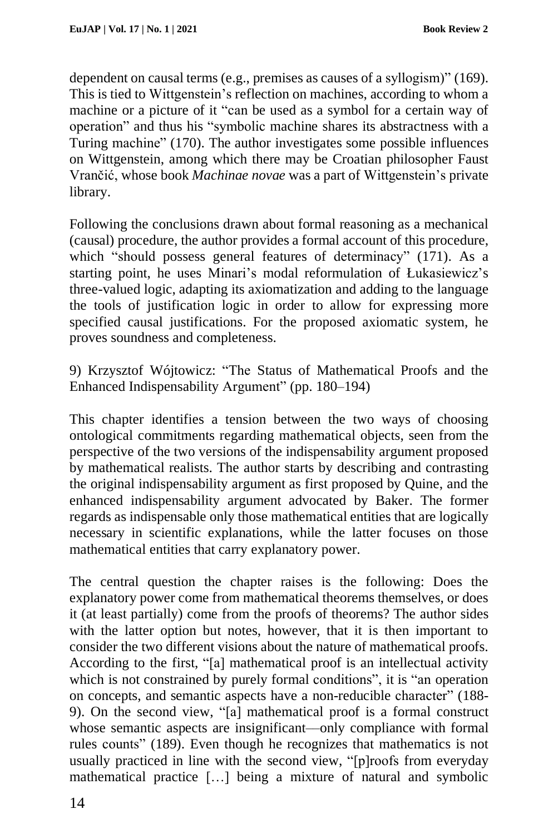dependent on causal terms (e.g., premises as causes of a syllogism)" (169). This is tied to Wittgenstein's reflection on machines, according to whom a machine or a picture of it "can be used as a symbol for a certain way of operation" and thus his "symbolic machine shares its abstractness with a Turing machine" (170). The author investigates some possible influences on Wittgenstein, among which there may be Croatian philosopher Faust Vrančić, whose book *Machinae novae* was a part of Wittgenstein's private library.

Following the conclusions drawn about formal reasoning as a mechanical (causal) procedure, the author provides a formal account of this procedure, which "should possess general features of determinacy" (171). As a starting point, he uses Minari's modal reformulation of Łukasiewicz's three-valued logic, adapting its axiomatization and adding to the language the tools of justification logic in order to allow for expressing more specified causal justifications. For the proposed axiomatic system, he proves soundness and completeness.

9) Krzysztof Wójtowicz: "The Status of Mathematical Proofs and the Enhanced Indispensability Argument" (pp. 180–194)

This chapter identifies a tension between the two ways of choosing ontological commitments regarding mathematical objects, seen from the perspective of the two versions of the indispensability argument proposed by mathematical realists. The author starts by describing and contrasting the original indispensability argument as first proposed by Quine, and the enhanced indispensability argument advocated by Baker. The former regards as indispensable only those mathematical entities that are logically necessary in scientific explanations, while the latter focuses on those mathematical entities that carry explanatory power.

The central question the chapter raises is the following: Does the explanatory power come from mathematical theorems themselves, or does it (at least partially) come from the proofs of theorems? The author sides with the latter option but notes, however, that it is then important to consider the two different visions about the nature of mathematical proofs. According to the first, "[a] mathematical proof is an intellectual activity which is not constrained by purely formal conditions", it is "an operation on concepts, and semantic aspects have a non-reducible character" (188- 9). On the second view, "[a] mathematical proof is a formal construct whose semantic aspects are insignificant—only compliance with formal rules counts" (189). Even though he recognizes that mathematics is not usually practiced in line with the second view, "[p]roofs from everyday mathematical practice […] being a mixture of natural and symbolic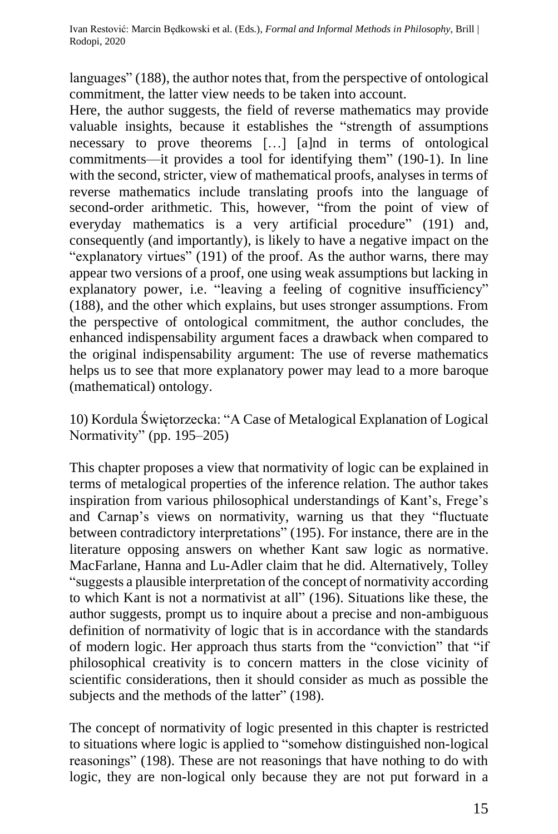languages" (188), the author notes that, from the perspective of ontological commitment, the latter view needs to be taken into account.

Here, the author suggests, the field of reverse mathematics may provide valuable insights, because it establishes the "strength of assumptions necessary to prove theorems […] [a]nd in terms of ontological commitments––it provides a tool for identifying them" (190-1). In line with the second, stricter, view of mathematical proofs, analyses in terms of reverse mathematics include translating proofs into the language of second-order arithmetic. This, however, "from the point of view of everyday mathematics is a very artificial procedure" (191) and, consequently (and importantly), is likely to have a negative impact on the "explanatory virtues" (191) of the proof. As the author warns, there may appear two versions of a proof, one using weak assumptions but lacking in explanatory power, i.e. "leaving a feeling of cognitive insufficiency" (188), and the other which explains, but uses stronger assumptions. From the perspective of ontological commitment, the author concludes, the enhanced indispensability argument faces a drawback when compared to the original indispensability argument: The use of reverse mathematics helps us to see that more explanatory power may lead to a more baroque (mathematical) ontology.

10) Kordula Świętorzecka: "A Case of Metalogical Explanation of Logical Normativity" (pp. 195–205)

This chapter proposes a view that normativity of logic can be explained in terms of metalogical properties of the inference relation. The author takes inspiration from various philosophical understandings of Kant's, Frege's and Carnap's views on normativity, warning us that they "fluctuate between contradictory interpretations" (195). For instance, there are in the literature opposing answers on whether Kant saw logic as normative. MacFarlane, Hanna and Lu-Adler claim that he did. Alternatively, Tolley "suggests a plausible interpretation of the concept of normativity according to which Kant is not a normativist at all" (196). Situations like these, the author suggests, prompt us to inquire about a precise and non-ambiguous definition of normativity of logic that is in accordance with the standards of modern logic. Her approach thus starts from the "conviction" that "if philosophical creativity is to concern matters in the close vicinity of scientific considerations, then it should consider as much as possible the subjects and the methods of the latter" (198).

The concept of normativity of logic presented in this chapter is restricted to situations where logic is applied to "somehow distinguished non-logical reasonings" (198). These are not reasonings that have nothing to do with logic, they are non-logical only because they are not put forward in a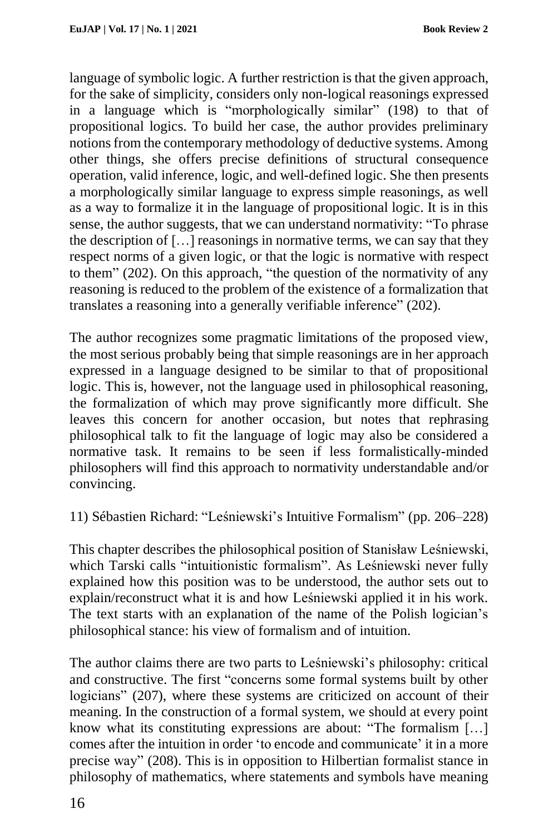language of symbolic logic. A further restriction is that the given approach, for the sake of simplicity, considers only non-logical reasonings expressed in a language which is "morphologically similar" (198) to that of propositional logics. To build her case, the author provides preliminary notionsfrom the contemporary methodology of deductive systems. Among other things, she offers precise definitions of structural consequence operation, valid inference, logic, and well-defined logic. She then presents a morphologically similar language to express simple reasonings, as well as a way to formalize it in the language of propositional logic. It is in this sense, the author suggests, that we can understand normativity: "To phrase the description of […] reasonings in normative terms, we can say that they respect norms of a given logic, or that the logic is normative with respect to them" (202). On this approach, "the question of the normativity of any reasoning is reduced to the problem of the existence of a formalization that translates a reasoning into a generally verifiable inference" (202).

The author recognizes some pragmatic limitations of the proposed view, the most serious probably being that simple reasonings are in her approach expressed in a language designed to be similar to that of propositional logic. This is, however, not the language used in philosophical reasoning, the formalization of which may prove significantly more difficult. She leaves this concern for another occasion, but notes that rephrasing philosophical talk to fit the language of logic may also be considered a normative task. It remains to be seen if less formalistically-minded philosophers will find this approach to normativity understandable and/or convincing.

11) Sébastien Richard: "Leśniewski's Intuitive Formalism" (pp. 206–228)

This chapter describes the philosophical position of Stanisław Leśniewski, which Tarski calls "intuitionistic formalism". As Leśniewski never fully explained how this position was to be understood, the author sets out to explain/reconstruct what it is and how Leśniewski applied it in his work. The text starts with an explanation of the name of the Polish logician's philosophical stance: his view of formalism and of intuition.

The author claims there are two parts to Leśniewski's philosophy: critical and constructive. The first "concerns some formal systems built by other logicians" (207), where these systems are criticized on account of their meaning. In the construction of a formal system, we should at every point know what its constituting expressions are about: "The formalism […] comes after the intuition in order 'to encode and communicate' it in a more precise way" (208). This is in opposition to Hilbertian formalist stance in philosophy of mathematics, where statements and symbols have meaning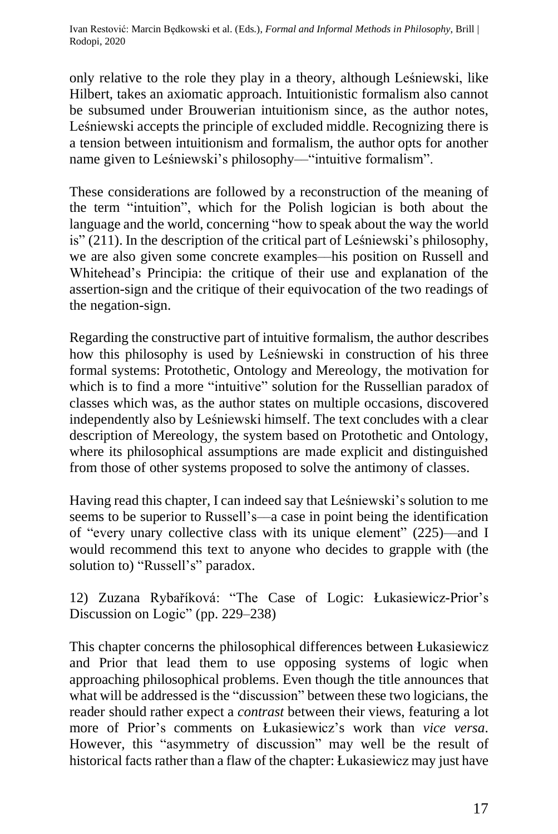only relative to the role they play in a theory, although Leśniewski, like Hilbert, takes an axiomatic approach. Intuitionistic formalism also cannot be subsumed under Brouwerian intuitionism since, as the author notes, Leśniewski accepts the principle of excluded middle. Recognizing there is a tension between intuitionism and formalism, the author opts for another name given to Leśniewski's philosophy—"intuitive formalism".

These considerations are followed by a reconstruction of the meaning of the term "intuition", which for the Polish logician is both about the language and the world, concerning "how to speak about the way the world is" (211). In the description of the critical part of Leśniewski's philosophy, we are also given some concrete examples––his position on Russell and Whitehead's Principia: the critique of their use and explanation of the assertion-sign and the critique of their equivocation of the two readings of the negation-sign.

Regarding the constructive part of intuitive formalism, the author describes how this philosophy is used by Leśniewski in construction of his three formal systems: Protothetic, Ontology and Mereology, the motivation for which is to find a more "intuitive" solution for the Russellian paradox of classes which was, as the author states on multiple occasions, discovered independently also by Leśniewski himself. The text concludes with a clear description of Mereology, the system based on Protothetic and Ontology, where its philosophical assumptions are made explicit and distinguished from those of other systems proposed to solve the antimony of classes.

Having read this chapter, I can indeed say that Leśniewski's solution to me seems to be superior to Russell's––a case in point being the identification of "every unary collective class with its unique element" (225)––and I would recommend this text to anyone who decides to grapple with (the solution to) "Russell's" paradox.

12) Zuzana Rybaříková: "The Case of Logic: Łukasiewicz-Prior's Discussion on Logic" (pp. 229–238)

This chapter concerns the philosophical differences between Łukasiewicz and Prior that lead them to use opposing systems of logic when approaching philosophical problems. Even though the title announces that what will be addressed is the "discussion" between these two logicians, the reader should rather expect a *contrast* between their views, featuring a lot more of Prior's comments on Łukasiewicz's work than *vice versa*. However, this "asymmetry of discussion" may well be the result of historical facts rather than a flaw of the chapter: Łukasiewicz may just have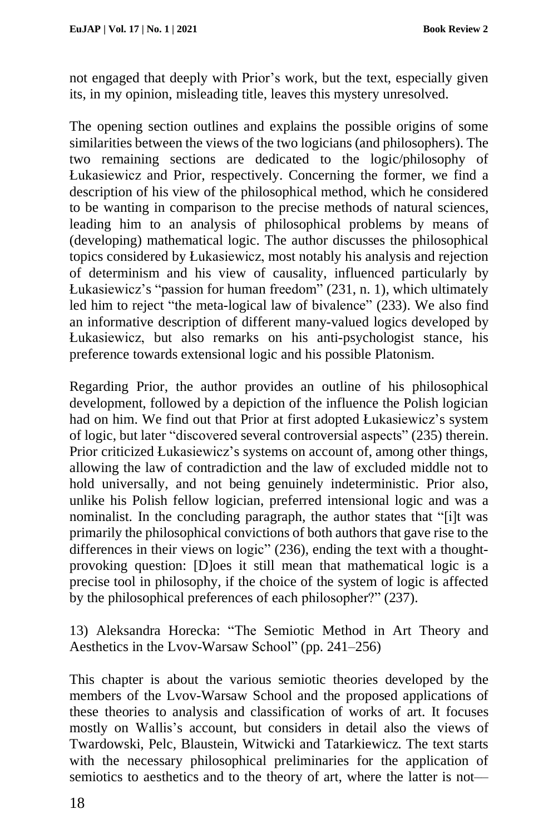not engaged that deeply with Prior's work, but the text, especially given its, in my opinion, misleading title, leaves this mystery unresolved.

The opening section outlines and explains the possible origins of some similarities between the views of the two logicians (and philosophers). The two remaining sections are dedicated to the logic/philosophy of Łukasiewicz and Prior, respectively. Concerning the former, we find a description of his view of the philosophical method, which he considered to be wanting in comparison to the precise methods of natural sciences, leading him to an analysis of philosophical problems by means of (developing) mathematical logic. The author discusses the philosophical topics considered by Łukasiewicz, most notably his analysis and rejection of determinism and his view of causality, influenced particularly by Łukasiewicz's "passion for human freedom" (231, n. 1), which ultimately led him to reject "the meta-logical law of bivalence" (233). We also find an informative description of different many-valued logics developed by Łukasiewicz, but also remarks on his anti-psychologist stance, his preference towards extensional logic and his possible Platonism.

Regarding Prior, the author provides an outline of his philosophical development, followed by a depiction of the influence the Polish logician had on him. We find out that Prior at first adopted Łukasiewicz's system of logic, but later "discovered several controversial aspects" (235) therein. Prior criticized Łukasiewicz's systems on account of, among other things, allowing the law of contradiction and the law of excluded middle not to hold universally, and not being genuinely indeterministic. Prior also, unlike his Polish fellow logician, preferred intensional logic and was a nominalist. In the concluding paragraph, the author states that "[i]t was primarily the philosophical convictions of both authors that gave rise to the differences in their views on logic" (236), ending the text with a thoughtprovoking question: [D]oes it still mean that mathematical logic is a precise tool in philosophy, if the choice of the system of logic is affected by the philosophical preferences of each philosopher?" (237).

13) Aleksandra Horecka: "The Semiotic Method in Art Theory and Aesthetics in the Lvov-Warsaw School" (pp. 241–256)

This chapter is about the various semiotic theories developed by the members of the Lvov-Warsaw School and the proposed applications of these theories to analysis and classification of works of art. It focuses mostly on Wallis's account, but considers in detail also the views of Twardowski, Pelc, Blaustein, Witwicki and Tatarkiewicz. The text starts with the necessary philosophical preliminaries for the application of semiotics to aesthetics and to the theory of art, where the latter is not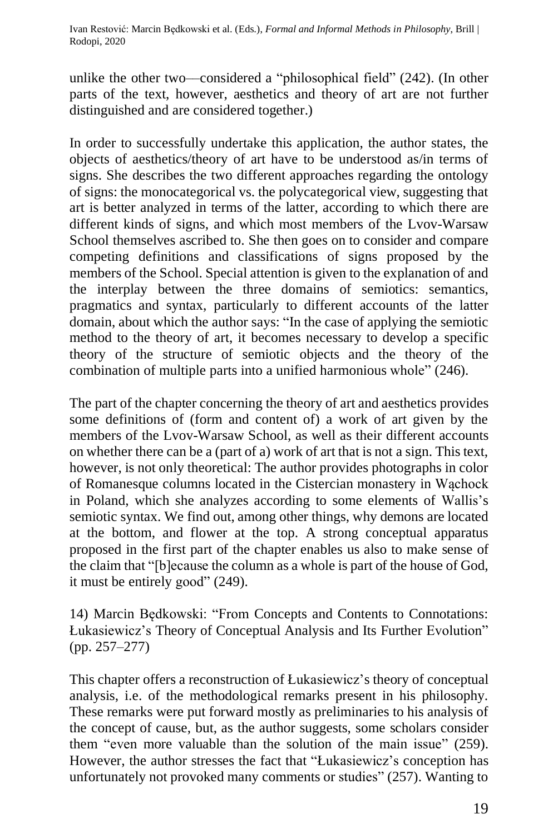unlike the other two––considered a "philosophical field" (242). (In other parts of the text, however, aesthetics and theory of art are not further distinguished and are considered together.)

In order to successfully undertake this application, the author states, the objects of aesthetics/theory of art have to be understood as/in terms of signs. She describes the two different approaches regarding the ontology of signs: the monocategorical vs. the polycategorical view, suggesting that art is better analyzed in terms of the latter, according to which there are different kinds of signs, and which most members of the Lvov-Warsaw School themselves ascribed to. She then goes on to consider and compare competing definitions and classifications of signs proposed by the members of the School. Special attention is given to the explanation of and the interplay between the three domains of semiotics: semantics, pragmatics and syntax, particularly to different accounts of the latter domain, about which the author says: "In the case of applying the semiotic method to the theory of art, it becomes necessary to develop a specific theory of the structure of semiotic objects and the theory of the combination of multiple parts into a unified harmonious whole" (246).

The part of the chapter concerning the theory of art and aesthetics provides some definitions of (form and content of) a work of art given by the members of the Lvov-Warsaw School, as well as their different accounts on whether there can be a (part of a) work of art that is not a sign. This text, however, is not only theoretical: The author provides photographs in color of Romanesque columns located in the Cistercian monastery in Wąchock in Poland, which she analyzes according to some elements of Wallis's semiotic syntax. We find out, among other things, why demons are located at the bottom, and flower at the top. A strong conceptual apparatus proposed in the first part of the chapter enables us also to make sense of the claim that "[b]ecause the column as a whole is part of the house of God, it must be entirely good" (249).

14) Marcin Będkowski: "From Concepts and Contents to Connotations: Łukasiewicz's Theory of Conceptual Analysis and Its Further Evolution" (pp. 257–277)

This chapter offers a reconstruction of Łukasiewicz's theory of conceptual analysis, i.e. of the methodological remarks present in his philosophy. These remarks were put forward mostly as preliminaries to his analysis of the concept of cause, but, as the author suggests, some scholars consider them "even more valuable than the solution of the main issue" (259). However, the author stresses the fact that "Łukasiewicz's conception has unfortunately not provoked many comments or studies" (257). Wanting to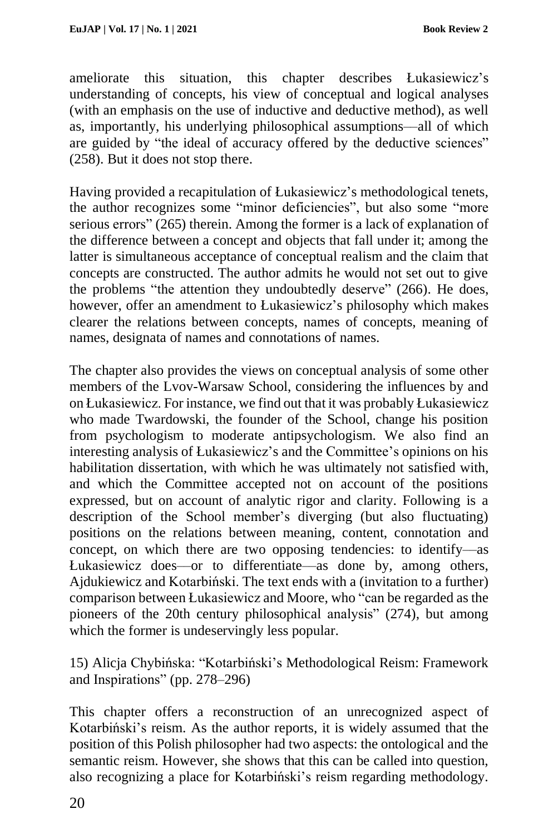ameliorate this situation, this chapter describes Łukasiewicz's understanding of concepts, his view of conceptual and logical analyses (with an emphasis on the use of inductive and deductive method), as well as, importantly, his underlying philosophical assumptions––all of which are guided by "the ideal of accuracy offered by the deductive sciences" (258). But it does not stop there.

Having provided a recapitulation of Łukasiewicz's methodological tenets, the author recognizes some "minor deficiencies", but also some "more serious errors" (265) therein. Among the former is a lack of explanation of the difference between a concept and objects that fall under it; among the latter is simultaneous acceptance of conceptual realism and the claim that concepts are constructed. The author admits he would not set out to give the problems "the attention they undoubtedly deserve" (266). He does, however, offer an amendment to Łukasiewicz's philosophy which makes clearer the relations between concepts, names of concepts, meaning of names, designata of names and connotations of names.

The chapter also provides the views on conceptual analysis of some other members of the Lvov-Warsaw School, considering the influences by and on Łukasiewicz. For instance, we find out that it was probably Łukasiewicz who made Twardowski, the founder of the School, change his position from psychologism to moderate antipsychologism. We also find an interesting analysis of Łukasiewicz's and the Committee's opinions on his habilitation dissertation, with which he was ultimately not satisfied with, and which the Committee accepted not on account of the positions expressed, but on account of analytic rigor and clarity. Following is a description of the School member's diverging (but also fluctuating) positions on the relations between meaning, content, connotation and concept, on which there are two opposing tendencies: to identify––as Łukasiewicz does––or to differentiate––as done by, among others, Ajdukiewicz and Kotarbiński. The text ends with a (invitation to a further) comparison between Łukasiewicz and Moore, who "can be regarded as the pioneers of the 20th century philosophical analysis" (274), but among which the former is undeservingly less popular.

15) Alicja Chybińska: "Kotarbiński's Methodological Reism: Framework and Inspirations" (pp. 278–296)

This chapter offers a reconstruction of an unrecognized aspect of Kotarbiński's reism. As the author reports, it is widely assumed that the position of this Polish philosopher had two aspects: the ontological and the semantic reism. However, she shows that this can be called into question, also recognizing a place for Kotarbiński's reism regarding methodology.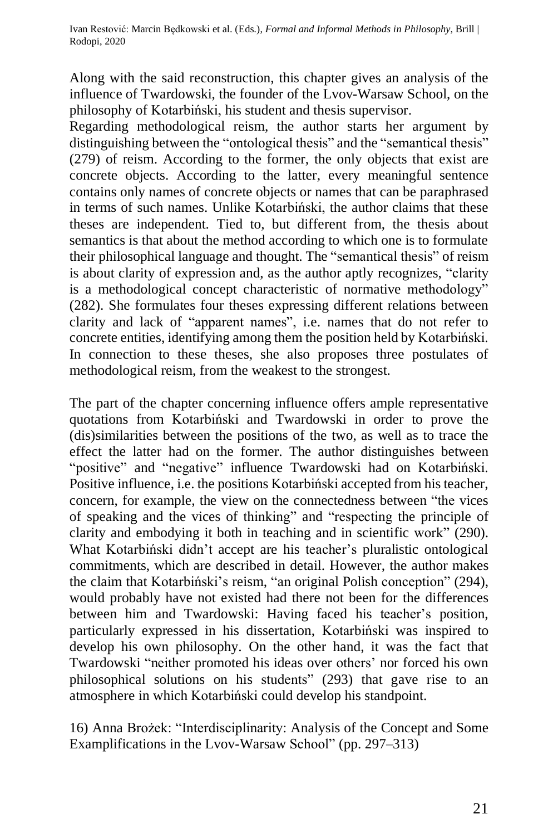Along with the said reconstruction, this chapter gives an analysis of the influence of Twardowski, the founder of the Lvov-Warsaw School, on the philosophy of Kotarbiński, his student and thesis supervisor.

Regarding methodological reism, the author starts her argument by distinguishing between the "ontological thesis" and the "semantical thesis" (279) of reism. According to the former, the only objects that exist are concrete objects. According to the latter, every meaningful sentence contains only names of concrete objects or names that can be paraphrased in terms of such names. Unlike Kotarbiński, the author claims that these theses are independent. Tied to, but different from, the thesis about semantics is that about the method according to which one is to formulate their philosophical language and thought. The "semantical thesis" of reism is about clarity of expression and, as the author aptly recognizes, "clarity is a methodological concept characteristic of normative methodology" (282). She formulates four theses expressing different relations between clarity and lack of "apparent names", i.e. names that do not refer to concrete entities, identifying among them the position held by Kotarbiński. In connection to these theses, she also proposes three postulates of methodological reism, from the weakest to the strongest.

The part of the chapter concerning influence offers ample representative quotations from Kotarbiński and Twardowski in order to prove the (dis)similarities between the positions of the two, as well as to trace the effect the latter had on the former. The author distinguishes between "positive" and "negative" influence Twardowski had on Kotarbiński. Positive influence, i.e. the positions Kotarbiński accepted from his teacher, concern, for example, the view on the connectedness between "the vices of speaking and the vices of thinking" and "respecting the principle of clarity and embodying it both in teaching and in scientific work" (290). What Kotarbiński didn't accept are his teacher's pluralistic ontological commitments, which are described in detail. However, the author makes the claim that Kotarbiński's reism, "an original Polish conception" (294), would probably have not existed had there not been for the differences between him and Twardowski: Having faced his teacher's position, particularly expressed in his dissertation, Kotarbiński was inspired to develop his own philosophy. On the other hand, it was the fact that Twardowski "neither promoted his ideas over others' nor forced his own philosophical solutions on his students" (293) that gave rise to an atmosphere in which Kotarbiński could develop his standpoint.

16) Anna Brożek: "Interdisciplinarity: Analysis of the Concept and Some Examplifications in the Lvov-Warsaw School" (pp. 297–313)